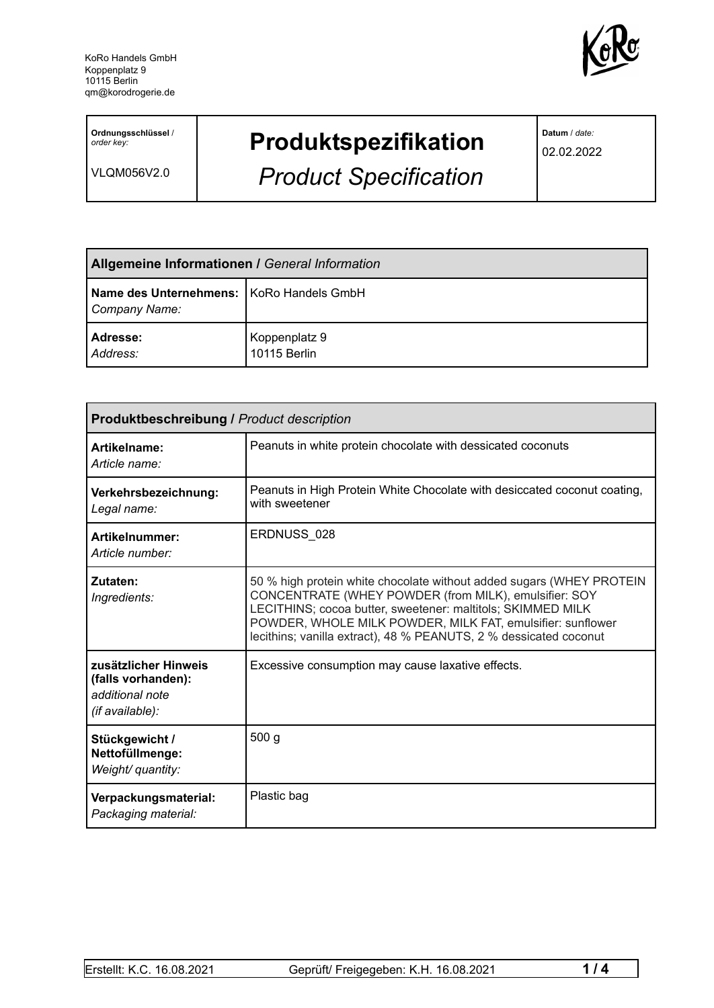

**Ordnungsschlüssel** / *order key:*

VLQM056V2.0

## **Produktspezifikation**

*Product Specification*

**Datum** / *date:*

02.02.2022

| <b>Allgemeine Informationen / General Information</b>       |                               |  |
|-------------------------------------------------------------|-------------------------------|--|
| Name des Unternehmens:   KoRo Handels GmbH<br>Company Name: |                               |  |
| <b>Adresse:</b><br>Address:                                 | Koppenplatz 9<br>10115 Berlin |  |

| Produktbeschreibung / Product description                                        |                                                                                                                                                                                                                                                                                                                                 |  |
|----------------------------------------------------------------------------------|---------------------------------------------------------------------------------------------------------------------------------------------------------------------------------------------------------------------------------------------------------------------------------------------------------------------------------|--|
| Artikelname:<br>Article name:                                                    | Peanuts in white protein chocolate with dessicated coconuts                                                                                                                                                                                                                                                                     |  |
| Verkehrsbezeichnung:<br>Legal name:                                              | Peanuts in High Protein White Chocolate with desiccated coconut coating,<br>with sweetener                                                                                                                                                                                                                                      |  |
| Artikelnummer:<br>Article number:                                                | ERDNUSS 028                                                                                                                                                                                                                                                                                                                     |  |
| Zutaten:<br>Ingredients:                                                         | 50 % high protein white chocolate without added sugars (WHEY PROTEIN<br>CONCENTRATE (WHEY POWDER (from MILK), emulsifier: SOY<br>LECITHINS; cocoa butter, sweetener: maltitols; SKIMMED MILK<br>POWDER, WHOLE MILK POWDER, MILK FAT, emulsifier: sunflower<br>lecithins; vanilla extract), 48 % PEANUTS, 2 % dessicated coconut |  |
| zusätzlicher Hinweis<br>(falls vorhanden):<br>additional note<br>(if available): | Excessive consumption may cause laxative effects.                                                                                                                                                                                                                                                                               |  |
| Stückgewicht /<br>Nettofüllmenge:<br>Weight/ quantity:                           | 500 g                                                                                                                                                                                                                                                                                                                           |  |
| Verpackungsmaterial:<br>Packaging material:                                      | Plastic bag                                                                                                                                                                                                                                                                                                                     |  |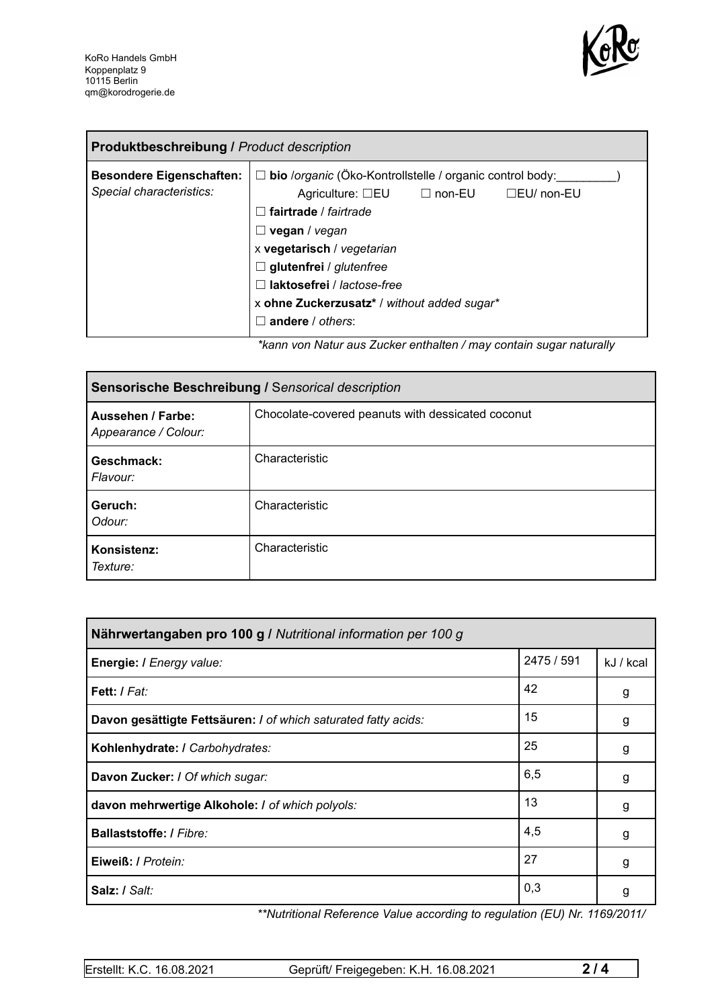

| <b>Produktbeschreibung / Product description</b>            |                                                                                                                                                                                                                                                                                                                                                |  |  |
|-------------------------------------------------------------|------------------------------------------------------------------------------------------------------------------------------------------------------------------------------------------------------------------------------------------------------------------------------------------------------------------------------------------------|--|--|
| <b>Besondere Eigenschaften:</b><br>Special characteristics: | □ bio /organic (Öko-Kontrollstelle / organic control body:<br>Agriculture: $\square$ EU $\square$ non-EU<br>□EU/ non-EU<br>$\sqsupset$ fairtrade / fairtrade<br>vegan / vegan<br>x vegetarisch / vegetarian<br>$\Box$ glutenfrei / glutenfree<br>laktosefrei / lactose-free<br>x ohne Zuckerzusatz* / without added sugar*<br>andere / others: |  |  |

*\*kann von Natur aus Zucker enthalten / may contain sugar naturally*

| Sensorische Beschreibung / Sensorical description |                                                   |  |
|---------------------------------------------------|---------------------------------------------------|--|
| Aussehen / Farbe:<br>Appearance / Colour:         | Chocolate-covered peanuts with dessicated coconut |  |
| Geschmack:<br>Flavour:                            | Characteristic                                    |  |
| Geruch:<br>Odour:                                 | Characteristic                                    |  |
| Konsistenz:<br>Texture:                           | Characteristic                                    |  |

| Nährwertangaben pro 100 g / Nutritional information per 100 g  |            |           |
|----------------------------------------------------------------|------------|-----------|
| Energie: I Energy value:                                       | 2475 / 591 | kJ / kcal |
| Fett: / Fat:                                                   | 42         | g         |
| Davon gesättigte Fettsäuren: I of which saturated fatty acids: | 15         | g         |
| Kohlenhydrate: I Carbohydrates:                                | 25         | g         |
| Davon Zucker: I Of which sugar:                                | 6,5        | g         |
| davon mehrwertige Alkohole: / of which polyols:                | 13         | g         |
| Ballaststoffe: / Fibre:                                        | 4,5        | g         |
| Eiweiß: / Protein:                                             | 27         | g         |
| Salz: / Salt:                                                  | 0,3        | g         |

*\*\*Nutritional Reference Value according to regulation (EU) Nr. 1169/2011/*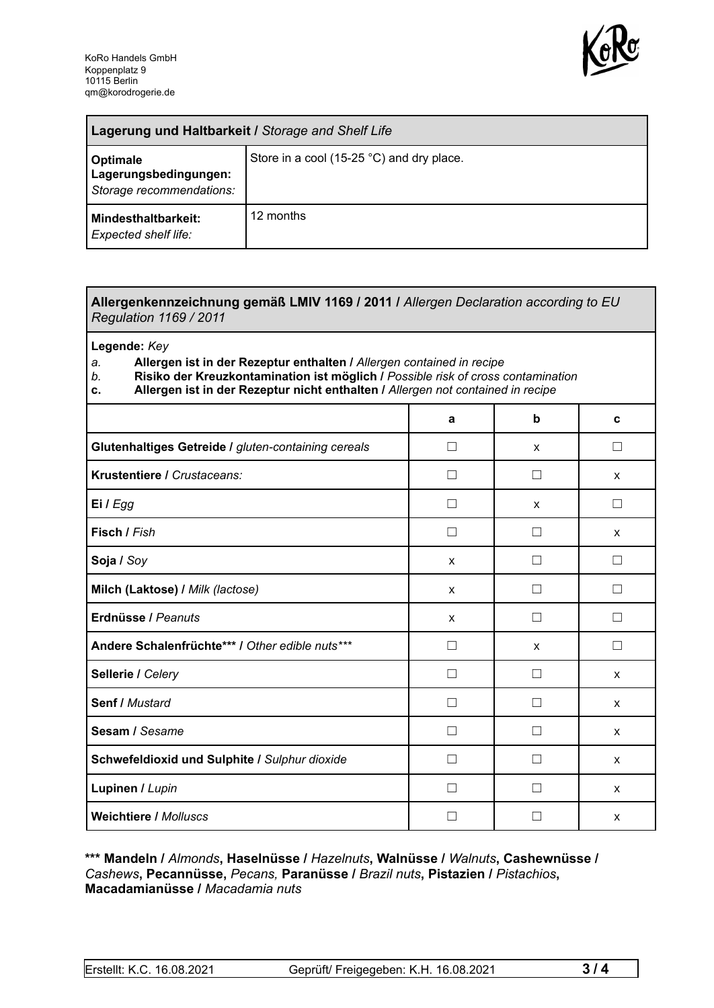

| Lagerung und Haltbarkeit / Storage and Shelf Life             |                                           |  |
|---------------------------------------------------------------|-------------------------------------------|--|
| Optimale<br>Lagerungsbedingungen:<br>Storage recommendations: | Store in a cool (15-25 °C) and dry place. |  |
| <b>Mindesthaltbarkeit:</b><br>Expected shelf life:            | 12 months                                 |  |

## **Allergenkennzeichnung gemäß LMIV 1169 / 2011 /** *Allergen Declaration according to EU Regulation 1169 / 2011*

**Legende:** *Key*

*a.* **Allergen ist in der Rezeptur enthalten /** *Allergen contained in recipe*

- *b.* **Risiko der Kreuzkontamination ist möglich /** *Possible risk of cross contamination*
- **c. Allergen ist in der Rezeptur nicht enthalten /** *Allergen not contained in recipe*

|                                                     | a                        | b       | C      |
|-----------------------------------------------------|--------------------------|---------|--------|
|                                                     |                          |         |        |
| Glutenhaltiges Getreide / gluten-containing cereals | $\mathbf{I}$             | X       | П      |
| Krustentiere / Crustaceans:                         |                          |         | X      |
| Ei / Egg                                            |                          | X       | П      |
| Fisch / Fish                                        |                          |         | X      |
| Soja / Soy                                          | $\mathsf{x}$             |         | П      |
| Milch (Laktose) / Milk (lactose)                    | X                        |         | П      |
| Erdnüsse / Peanuts                                  | $\mathsf{x}$             | $\Box$  | П      |
| Andere Schalenfrüchte*** / Other edible nuts***     | П                        | X       | $\Box$ |
| Sellerie / Celery                                   | $\mathsf{L}$             | $\perp$ | X      |
| <b>Senf / Mustard</b>                               | $\perp$                  | $\Box$  | X      |
| Sesam / Sesame                                      | $\mathbf{I}$             |         | X      |
| Schwefeldioxid und Sulphite / Sulphur dioxide       | $\overline{\phantom{0}}$ |         | X      |
| Lupinen / Lupin                                     |                          |         | X      |
| <b>Weichtiere / Molluscs</b>                        |                          |         | X      |

## **\*\*\* Mandeln /** *Almonds***, Haselnüsse /** *Hazelnuts***, Walnüsse /** *Walnuts***, Cashewnüsse /** *Cashews***, Pecannüsse,** *Pecans,* **Paranüsse /** *Brazil nuts***, Pistazien /** *Pistachios***, Macadamianüsse /** *Macadamia nuts*